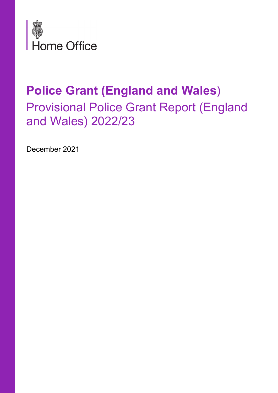

# Police Grant (England and Wales) Provisional Police Grant Report (England and Wales) 2022/23

December 2021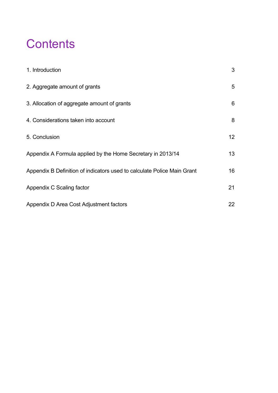### **Contents**

| 1. Introduction                                                         | 3               |
|-------------------------------------------------------------------------|-----------------|
| 2. Aggregate amount of grants                                           | $5\overline{)}$ |
| 3. Allocation of aggregate amount of grants                             | 6               |
| 4. Considerations taken into account                                    | 8               |
| 5. Conclusion                                                           | 12 <sup>°</sup> |
| Appendix A Formula applied by the Home Secretary in 2013/14             | 13              |
| Appendix B Definition of indicators used to calculate Police Main Grant | 16              |
| Appendix C Scaling factor                                               | 21              |
| Appendix D Area Cost Adjustment factors                                 | 22              |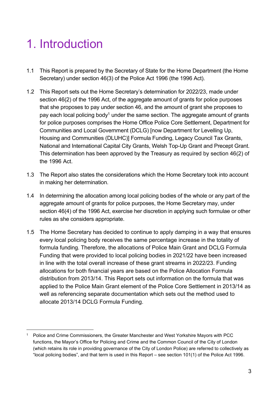# 1. Introduction

- 1.1 This Report is prepared by the Secretary of State for the Home Department (the Home Secretary) under section 46(3) of the Police Act 1996 (the 1996 Act).
- 1.2 This Report sets out the Home Secretary's determination for 2022/23, made under section 46(2) of the 1996 Act, of the aggregate amount of grants for police purposes that she proposes to pay under section 46, and the amount of grant she proposes to pay each local policing body<sup>1</sup> under the same section. The aggregate amount of grants for police purposes comprises the Home Office Police Core Settlement, Department for Communities and Local Government (DCLG) [now Department for Levelling Up, Housing and Communities (DLUHC)] Formula Funding, Legacy Council Tax Grants, National and International Capital City Grants, Welsh Top-Up Grant and Precept Grant. This determination has been approved by the Treasury as required by section 46(2) of the 1996 Act.
- 1.3 The Report also states the considerations which the Home Secretary took into account in making her determination.
- 1.4 In determining the allocation among local policing bodies of the whole or any part of the aggregate amount of grants for police purposes, the Home Secretary may, under section 46(4) of the 1996 Act, exercise her discretion in applying such formulae or other rules as she considers appropriate.
- 1.5 The Home Secretary has decided to continue to apply damping in a way that ensures every local policing body receives the same percentage increase in the totality of formula funding. Therefore, the allocations of Police Main Grant and DCLG Formula Funding that were provided to local policing bodies in 2021/22 have been increased in line with the total overall increase of these grant streams in 2022/23. Funding allocations for both financial years are based on the Police Allocation Formula distribution from 2013/14. This Report sets out information on the formula that was applied to the Police Main Grant element of the Police Core Settlement in 2013/14 as well as referencing separate documentation which sets out the method used to allocate 2013/14 DCLG Formula Funding.

<sup>1</sup> Police and Crime Commissioners, the Greater Manchester and West Yorkshire Mayors with PCC functions, the Mayor's Office for Policing and Crime and the Common Council of the City of London (which retains its role in providing governance of the City of London Police) are referred to collectively as "local policing bodies", and that term is used in this Report – see section 101(1) of the Police Act 1996.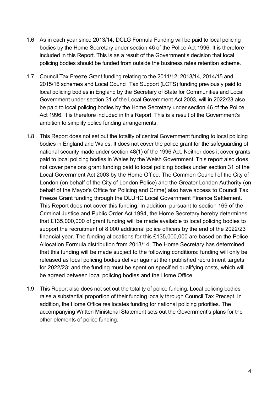- 1.6 As in each year since 2013/14, DCLG Formula Funding will be paid to local policing bodies by the Home Secretary under section 46 of the Police Act 1996. It is therefore included in this Report. This is as a result of the Government's decision that local policing bodies should be funded from outside the business rates retention scheme.
- 1.7 Council Tax Freeze Grant funding relating to the 2011/12, 2013/14, 2014/15 and 2015/16 schemes and Local Council Tax Support (LCTS) funding previously paid to local policing bodies in England by the Secretary of State for Communities and Local Government under section 31 of the Local Government Act 2003, will in 2022/23 also be paid to local policing bodies by the Home Secretary under section 46 of the Police Act 1996. It is therefore included in this Report. This is a result of the Government's ambition to simplify police funding arrangements.
- 1.8 This Report does not set out the totality of central Government funding to local policing bodies in England and Wales. It does not cover the police grant for the safeguarding of national security made under section 48(1) of the 1996 Act. Neither does it cover grants paid to local policing bodies in Wales by the Welsh Government. This report also does not cover pensions grant funding paid to local policing bodies under section 31 of the Local Government Act 2003 by the Home Office. The Common Council of the City of London (on behalf of the City of London Police) and the Greater London Authority (on behalf of the Mayor's Office for Policing and Crime) also have access to Council Tax Freeze Grant funding through the DLUHC Local Government Finance Settlement. This Report does not cover this funding. In addition, pursuant to section 169 of the Criminal Justice and Public Order Act 1994, the Home Secretary hereby determines that £135,000,000 of grant funding will be made available to local policing bodies to support the recruitment of 8,000 additional police officers by the end of the 2022/23 financial year. The funding allocations for this £135,000,000 are based on the Police Allocation Formula distribution from 2013/14. The Home Secretary has determined that this funding will be made subject to the following conditions: funding will only be released as local policing bodies deliver against their published recruitment targets for 2022/23; and the funding must be spent on specified qualifying costs, which will be agreed between local policing bodies and the Home Office.
- 1.9 This Report also does not set out the totality of police funding. Local policing bodies raise a substantial proportion of their funding locally through Council Tax Precept. In addition, the Home Office reallocates funding for national policing priorities. The accompanying Written Ministerial Statement sets out the Government's plans for the other elements of police funding.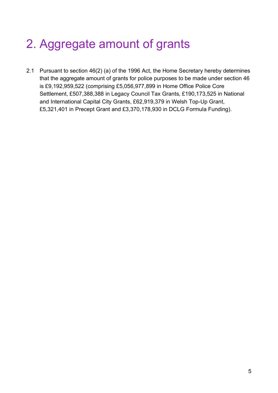# 2. Aggregate amount of grants

2.1 Pursuant to section 46(2) (a) of the 1996 Act, the Home Secretary hereby determines that the aggregate amount of grants for police purposes to be made under section 46 is £9,192,959,522 (comprising £5,056,977,899 in Home Office Police Core Settlement, £507,388,388 in Legacy Council Tax Grants, £190,173,525 in National and International Capital City Grants, £62,919,379 in Welsh Top-Up Grant, £5,321,401 in Precept Grant and £3,370,178,930 in DCLG Formula Funding).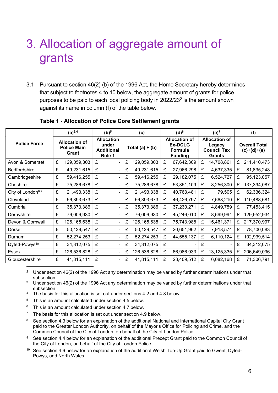### 3. Allocation of aggregate amount of grants

3.1 Pursuant to section 46(2) (b) of the 1996 Act, the Home Secretary hereby determines that subject to footnotes 4 to 10 below, the aggregate amount of grants for police purposes to be paid to each local policing body in 2022/23<sup>2</sup> is the amount shown against its name in column (f) of the table below.

|                               |   | $(a)^{3,4}$                                         | (b) <sup>5</sup>                                          | (c)                | $(d)^6$ |                                                                     | $(e)^7$                                                               |              | (f)                                   |             |
|-------------------------------|---|-----------------------------------------------------|-----------------------------------------------------------|--------------------|---------|---------------------------------------------------------------------|-----------------------------------------------------------------------|--------------|---------------------------------------|-------------|
| <b>Police Force</b>           |   | <b>Allocation of</b><br><b>Police Main</b><br>Grant | <b>Allocation</b><br>under<br><b>Additional</b><br>Rule 1 | Total $(a) + (b)$  |         | <b>Allocation of</b><br><b>Ex-DCLG</b><br>Formula<br><b>Funding</b> | <b>Allocation of</b><br>Legacy<br><b>Council Tax</b><br><b>Grants</b> |              | <b>Overall Total</b><br>$(c)+(d)+(e)$ |             |
| Avon & Somerset               | £ | 129,059,303                                         | £                                                         | £<br>129,059,303   | £       | 67,642,309                                                          | £                                                                     | 14,708,861   | £                                     | 211,410,473 |
| <b>Bedfordshire</b>           | £ | 49,231,615                                          | £                                                         | £<br>49,231,615    | £       | 27,966,298                                                          | £                                                                     | 4,637,335    | £                                     | 81,835,248  |
| Cambridgeshire                | £ | 59,416,255                                          | £                                                         | 59,416,255<br>£    | £       | 29,182,075                                                          | £                                                                     | 6,524,727    | £                                     | 95,123,057  |
| Cheshire                      | £ | 75,286,678                                          | £                                                         | 75,286,678<br>£    | £       | 53,851,109                                                          | £                                                                     | 8,256,300    | £                                     | 137,394,087 |
| City of London <sup>8,9</sup> | £ | 21,493,338                                          | £                                                         | £<br>21,493,338    | £       | 40,763,481                                                          | £                                                                     | 79,505       | £                                     | 62,336,324  |
| Cleveland                     | £ | 56,393,673                                          | £                                                         | £<br>56,393,673    | £       | 46,426,797                                                          | £                                                                     | 7,668,210    | £                                     | 110,488,681 |
| Cumbria                       | £ | 35,373,386                                          | £                                                         | £<br>35,373,386    | £       | 37,230,271                                                          | £                                                                     | 4,849,759    | £                                     | 77,453,415  |
| Derbyshire                    | £ | 76,006,930                                          | £                                                         | £<br>76,006,930    | £       | 45,246,010                                                          | £                                                                     | 8,699,994    | £                                     | 129,952,934 |
| Devon & Cornwall              | £ | 126,165,638                                         | £<br>$\overline{\phantom{0}}$                             | 126, 165, 638<br>£ | £       | 75,743,988                                                          | £                                                                     | 15,461,371   | £                                     | 217,370,997 |
| Dorset                        | £ | 50,129,547                                          | £<br>$\blacksquare$                                       | £<br>50,129,547    | £       | 20,651,962                                                          | £                                                                     | 7,918,574    | £                                     | 78,700,083  |
| Durham                        | £ | 52,274,253                                          | £                                                         | £<br>52,274,253    | £       | 44,555,137                                                          | £                                                                     | 6,110,124    | £                                     | 102,939,514 |
| Dyfed-Powys <sup>10</sup>     | £ | 34,312,075                                          | £                                                         | £<br>34,312,075    | £       |                                                                     | £                                                                     |              | £                                     | 34,312,075  |
| <b>Essex</b>                  | £ | 126,536,828                                         | £                                                         | 126,536,828<br>£   | £       | 66,986,933                                                          | £                                                                     | 13, 125, 335 | £                                     | 206,649,096 |
| Gloucestershire               | £ | 41,815,111                                          | £<br>۰                                                    | 41,815,111<br>£    | £       | 23,409,512                                                          | £                                                                     | 6,082,168    | £                                     | 71,306,791  |

#### Table 1 - Allocation of Police Core Settlement grants

2 Under section 46(2) of the 1996 Act any determination may be varied by further determinations under that subsection.

- $3$  Under section 46(2) of the 1996 Act any determination may be varied by further determinations under that subsection.
- <sup>4</sup> The basis for this allocation is set out under sections 4.2 and 4.8 below.
- 5 This is an amount calculated under section 4.5 below.
- 6 This is an amount calculated under section 4.7 below.
- $7$  The basis for this allocation is set out under section 4.9 below.
- 8 See section 4.3 below for an explanation of the additional National and International Capital City Grant paid to the Greater London Authority, on behalf of the Mayor's Office for Policing and Crime, and the Common Council of the City of London, on behalf of the City of London Police.
- <sup>9</sup> See section 4.4 below for an explanation of the additional Precept Grant paid to the Common Council of the City of London, on behalf of the City of London Police.
- <sup>10</sup> See section 4.6 below for an explanation of the additional Welsh Top-Up Grant paid to Gwent, Dyfed-Powys, and North Wales.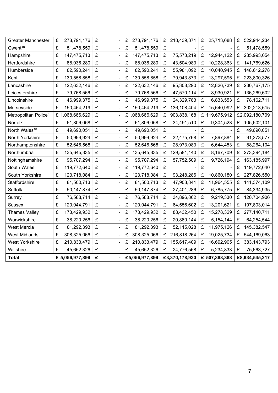| <b>Greater Manchester</b>        | £<br>278,791,176   | £ | £<br>278,791,176 | £<br>218,439,371 | £<br>25,713,688 | £<br>522,944,234   |
|----------------------------------|--------------------|---|------------------|------------------|-----------------|--------------------|
| Gwent <sup>10</sup>              | £<br>51,478,559    | £ | £<br>51,478,559  | £                | £               | £<br>51,478,559    |
| Hampshire                        | £<br>147,475,713   | £ | £<br>147,475,713 | £<br>75,573,219  | £<br>12,944,122 | £<br>235,993,054   |
| Hertfordshire                    | £<br>88,036,280    | £ | £<br>88,036,280  | £<br>43,504,983  | £<br>10,228,363 | £<br>141,769,626   |
| Humberside                       | £<br>82,590,241    | £ | £<br>82,590,241  | £<br>55,981,092  | £<br>10,040,945 | £<br>148,612,278   |
| Kent                             | £<br>130,558,858   | £ | £<br>130,558,858 | £<br>79,943,873  | £<br>13,297,595 | £<br>223,800,326   |
| Lancashire                       | £<br>122,632,146   | £ | £<br>122,632,146 | £<br>95,308,290  | £<br>12,826,739 | £<br>230,767,175   |
| Leicestershire                   | £<br>79,768,566    | £ | £<br>79,768,566  | £<br>47,570,114  | £<br>8,930,921  | £<br>136,269,602   |
| Lincolnshire                     | £<br>46,999,375    | £ | £<br>46,999,375  | £<br>24,329,783  | £<br>6,833,553  | £<br>78,162,711    |
| Merseyside                       | £<br>150,464,219   | £ | £<br>150,464,219 | £<br>136,108,404 | £<br>15,640,992 | £<br>302,213,615   |
| Metropolitan Police <sup>8</sup> | £<br>1,068,666,629 | £ | £1,068,666,629   | £<br>903,838,168 | £ 119,675,912   | £2,092,180,709     |
| Norfolk                          | £<br>61,806,068    | £ | £<br>61,806,068  | £<br>34,491,510  | £<br>9,304,523  | £<br>105,602,101   |
| North Wales <sup>10</sup>        | £<br>49,690,051    | £ | £<br>49,690,051  | £                | £               | £<br>49,690,051    |
| North Yorkshire                  | £<br>50,999,924    | £ | £<br>50,999,924  | £<br>32,475,768  | £<br>7,897,884  | £<br>91,373,577    |
| Northamptonshire                 | £<br>52,646,568    | £ | £<br>52,646,568  | £<br>28,973,083  | £<br>6,644,453  | £<br>88,264,104    |
| Northumbria                      | £<br>135,645,335   | £ | £<br>135,645,335 | £<br>129,581,140 | £<br>8,167,709  | £<br>273,394,184   |
| Nottinghamshire                  | £<br>95,707,294    | £ | £<br>95,707,294  | £<br>57,752,509  | £<br>9,726,194  | £<br>163, 185, 997 |
| South Wales                      | £<br>119,772,640   | £ | £<br>119,772,640 | £                | £               | £<br>119,772,640   |
| South Yorkshire                  | £<br>123,718,084   | £ | £<br>123,718,084 | £<br>93,248,286  | £<br>10,860,180 | £<br>227,826,550   |
| Staffordshire                    | £<br>81,500,713    | £ | £<br>81,500,713  | £<br>47,908,841  | £<br>11,964,555 | £<br>141,374,109   |
| Suffolk                          | £<br>50,147,874    | £ | £<br>50,147,874  | £<br>27,401,286  | £<br>6,785,775  | £<br>84,334,935    |
| Surrey                           | £<br>76,588,714    | £ | £<br>76,588,714  | £<br>34,896,862  | £<br>9,219,330  | £<br>120,704,906   |
| <b>Sussex</b>                    | £<br>120,044,791   | £ | £<br>120,044,791 | £<br>64,556,602  | £<br>13,201,621 | £<br>197,803,014   |
| <b>Thames Valley</b>             | £<br>173,429,932   | £ | £<br>173,429,932 | £<br>88,432,450  | £<br>15,278,329 | £<br>277,140,711   |
| Warwickshire                     | £<br>38,220,256    | £ | £<br>38,220,256  | £<br>20,880,144  | £<br>5,154,144  | £<br>64,254,544    |
| <b>West Mercia</b>               | £<br>81,292,393    | £ | £<br>81,292,393  | £<br>52,115,028  | £<br>11,975,126 | £<br>145,382,547   |
| <b>West Midlands</b>             | £<br>308,325,066   | £ | £<br>308,325,066 | £<br>216,818,264 | £<br>19,025,734 | £<br>544,169,063   |
| <b>West Yorkshire</b>            | £<br>210,833,479   | £ | £<br>210,833,479 | £<br>155,617,409 | £<br>16,692,905 | £<br>383, 143, 793 |
| Wiltshire                        | £<br>45,652,326    | £ | £<br>45,652,326  | £<br>24,776,568  | £<br>5,234,833  | £<br>75,663,727    |
| <b>Total</b>                     | £ 5,056,977,899    | £ | £5,056,977,899   | £3,370,178,930   | £ 507,388,388   | £8,934,545,217     |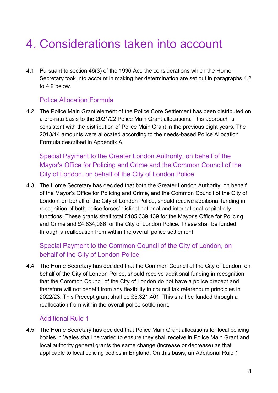## 4. Considerations taken into account

4.1 Pursuant to section 46(3) of the 1996 Act, the considerations which the Home Secretary took into account in making her determination are set out in paragraphs 4.2 to 4.9 below.

#### Police Allocation Formula

4.2 The Police Main Grant element of the Police Core Settlement has been distributed on a pro-rata basis to the 2021/22 Police Main Grant allocations. This approach is consistent with the distribution of Police Main Grant in the previous eight years. The 2013/14 amounts were allocated according to the needs-based Police Allocation Formula described in Appendix A.

Special Payment to the Greater London Authority, on behalf of the Mayor's Office for Policing and Crime and the Common Council of the City of London, on behalf of the City of London Police

4.3 The Home Secretary has decided that both the Greater London Authority, on behalf of the Mayor's Office for Policing and Crime, and the Common Council of the City of London, on behalf of the City of London Police, should receive additional funding in recognition of both police forces' distinct national and international capital city functions. These grants shall total £185,339,439 for the Mayor's Office for Policing and Crime and £4,834,086 for the City of London Police. These shall be funded through a reallocation from within the overall police settlement.

### Special Payment to the Common Council of the City of London, on behalf of the City of London Police

4.4 The Home Secretary has decided that the Common Council of the City of London, on behalf of the City of London Police, should receive additional funding in recognition that the Common Council of the City of London do not have a police precept and therefore will not benefit from any flexibility in council tax referendum principles in 2022/23. This Precept grant shall be £5,321,401. This shall be funded through a reallocation from within the overall police settlement.

### Additional Rule 1

4.5 The Home Secretary has decided that Police Main Grant allocations for local policing bodies in Wales shall be varied to ensure they shall receive in Police Main Grant and local authority general grants the same change (increase or decrease) as that applicable to local policing bodies in England. On this basis, an Additional Rule 1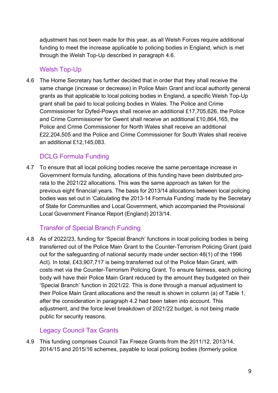adjustment has not been made for this year, as all Welsh Forces require additional funding to meet the increase applicable to policing bodies in England, which is met through the Welsh Top-Up described in paragraph 4.6.

#### Welsh Top-Up

4.6 The Home Secretary has further decided that in order that they shall receive the same change (increase or decrease) in Police Main Grant and local authority general grants as that applicable to local policing bodies in England, a specific Welsh Top-Up grant shall be paid to local policing bodies in Wales. The Police and Crime Commissioner for Dyfed-Powys shall receive an additional £17,705,626, the Police and Crime Commissioner for Gwent shall receive an additional £10,864,165, the Police and Crime Commissioner for North Wales shall receive an additional £22,204,505 and the Police and Crime Commissioner for South Wales shall receive an additional £12,145,083.

### DCLG Formula Funding

4.7 To ensure that all local policing bodies receive the same percentage increase in Government formula funding, allocations of this funding have been distributed prorata to the 2021/22 allocations. This was the same approach as taken for the previous eight financial years. The basis for 2013/14 allocations between local policing bodies was set out in 'Calculating the 2013-14 Formula Funding' made by the Secretary of State for Communities and Local Government, which accompanied the Provisional Local Government Finance Report (England) 2013/14.

### Transfer of Special Branch Funding

4.8 As of 2022/23, funding for 'Special Branch' functions in local policing bodies is being transferred out of the Police Main Grant to the Counter-Terrorism Policing Grant (paid out for the safeguarding of national security made under section 48(1) of the 1996 Act). In total, £43,907,717 is being transferred out of the Police Main Grant, with costs met via the Counter-Terrorism Policing Grant. To ensure fairness, each policing body will have their Police Main Grant reduced by the amount they budgeted on their 'Special Branch' function in 2021/22. This is done through a manual adjustment to their Police Main Grant allocations and the result is shown in column (a) of Table 1, after the consideration in paragraph 4.2 had been taken into account. This adjustment, and the force level breakdown of 2021/22 budget, is not being made public for security reasons.

### Legacy Council Tax Grants

4.9 This funding comprises Council Tax Freeze Grants from the 2011/12, 2013/14, 2014/15 and 2015/16 schemes, payable to local policing bodies (formerly police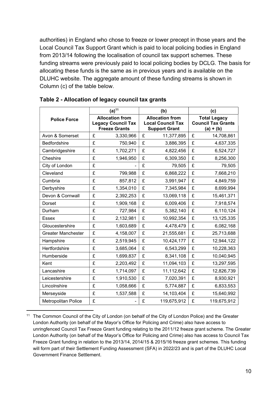authorities) in England who chose to freeze or lower precept in those years and the Local Council Tax Support Grant which is paid to local policing bodies in England from 2013/14 following the localisation of council tax support schemes. These funding streams were previously paid to local policing bodies by DCLG. The basis for allocating these funds is the same as in previous years and is available on the DLUHC website. The aggregate amount of these funding streams is shown in Column (c) of the table below.

|                            | $(a)^{11}$ |                                                                             |   | (b)                                                                        | (c) |                                                                 |  |
|----------------------------|------------|-----------------------------------------------------------------------------|---|----------------------------------------------------------------------------|-----|-----------------------------------------------------------------|--|
| <b>Police Force</b>        |            | <b>Allocation from</b><br><b>Legacy Council Tax</b><br><b>Freeze Grants</b> |   | <b>Allocation from</b><br><b>Local Council Tax</b><br><b>Support Grant</b> |     | <b>Total Legacy</b><br><b>Council Tax Grants</b><br>$(a) + (b)$ |  |
| Avon & Somerset            | £          | 3,330,966                                                                   | £ | 11,377,895                                                                 | £   | 14,708,861                                                      |  |
| Bedfordshire               | £          | 750,940                                                                     | £ | 3,886,395                                                                  | £   | 4,637,335                                                       |  |
| Cambridgeshire             | £          | 1,702,271                                                                   | £ | 4,822,456                                                                  | £   | 6,524,727                                                       |  |
| Cheshire                   | £          | 1,946,950                                                                   | £ | 6,309,350                                                                  | £   | 8,256,300                                                       |  |
| City of London             | £          |                                                                             | £ | 79,505                                                                     | £   | 79,505                                                          |  |
| Cleveland                  | £          | 799,988                                                                     | £ | 6,868,222                                                                  | £   | 7,668,210                                                       |  |
| Cumbria                    | £          | 857,812                                                                     | £ | 3,991,947                                                                  | £   | 4,849,759                                                       |  |
| Derbyshire                 | £          | 1,354,010                                                                   | £ | 7,345,984                                                                  | £   | 8,699,994                                                       |  |
| Devon & Cornwall           | £          | 2,392,253                                                                   | £ | 13,069,118                                                                 | £   | 15,461,371                                                      |  |
| Dorset                     | £          | 1,909,168                                                                   | £ | 6,009,406                                                                  | £   | 7,918,574                                                       |  |
| Durham                     | £          | 727,984                                                                     | £ | 5,382,140                                                                  | £   | 6,110,124                                                       |  |
| Essex                      | £          | 2,132,981                                                                   | £ | 10,992,354                                                                 | £   | 13,125,335                                                      |  |
| Gloucestershire            | £          | 1,603,689                                                                   | £ | 4,478,479                                                                  | £   | 6,082,168                                                       |  |
| <b>Greater Manchester</b>  | £          | 4,158,007                                                                   | £ | 21,555,681                                                                 | £   | 25,713,688                                                      |  |
| Hampshire                  | £          | 2,519,945                                                                   | £ | 10,424,177                                                                 | £   | 12,944,122                                                      |  |
| Hertfordshire              | £          | 3,685,064                                                                   | £ | 6,543,299                                                                  | £   | 10,228,363                                                      |  |
| Humberside                 | £          | 1,699,837                                                                   | £ | 8,341,108                                                                  | £   | 10,040,945                                                      |  |
| Kent                       | £          | 2,203,492                                                                   | £ | 11,094,103                                                                 | £   | 13,297,595                                                      |  |
| Lancashire                 | £          | 1,714,097                                                                   | £ | 11,112,642                                                                 | £   | 12,826,739                                                      |  |
| Leicestershire             | £          | 1,910,530                                                                   | £ | 7,020,391                                                                  | £   | 8,930,921                                                       |  |
| Lincolnshire               | £          | 1,058,666                                                                   | £ | 5,774,887                                                                  | £   | 6,833,553                                                       |  |
| Merseyside                 | £          | 1,537,588                                                                   | £ | 14,103,404                                                                 | £   | 15,640,992                                                      |  |
| <b>Metropolitan Police</b> | £          |                                                                             | £ | 119,675,912                                                                | £   | 119,675,912                                                     |  |

Table 2 - Allocation of legacy council tax grants

<sup>11</sup> The Common Council of the City of London (on behalf of the City of London Police) and the Greater London Authority (on behalf of the Mayor's Office for Policing and Crime) also have access to unringfenced Council Tax Freeze Grant funding relating to the 2011/12 freeze grant scheme. The Greater London Authority (on behalf of the Mayor's Office for Policing and Crime) also has access to Council Tax Freeze Grant funding in relation to the 2013/14, 2014/15 & 2015/16 freeze grant schemes. This funding will form part of their Settlement Funding Assessment (SFA) in 2022/23 and is part of the DLUHC Local Government Finance Settlement.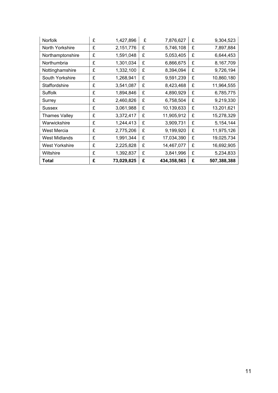| <b>Norfolk</b>        | £ | 1,427,896  | £ | 7,876,627   | £ | 9,304,523   |
|-----------------------|---|------------|---|-------------|---|-------------|
| North Yorkshire       | £ | 2,151,776  | £ | 5,746,108   | £ | 7,897,884   |
| Northamptonshire      | £ | 1,591,048  | £ | 5,053,405   | £ | 6,644,453   |
| Northumbria           | £ | 1,301,034  | £ | 6,866,675   | £ | 8,167,709   |
| Nottinghamshire       | £ | 1,332,100  | £ | 8,394,094   | £ | 9,726,194   |
| South Yorkshire       | £ | 1,268,941  | £ | 9,591,239   | £ | 10,860,180  |
| Staffordshire         | £ | 3,541,087  | £ | 8,423,468   | £ | 11,964,555  |
| <b>Suffolk</b>        | £ | 1,894,846  | £ | 4,890,929   | £ | 6,785,775   |
| Surrey                | £ | 2,460,826  | £ | 6,758,504   | £ | 9,219,330   |
| <b>Sussex</b>         | £ | 3,061,988  | £ | 10,139,633  | £ | 13,201,621  |
| <b>Thames Valley</b>  | £ | 3,372,417  | £ | 11,905,912  | £ | 15,278,329  |
| Warwickshire          | £ | 1,244,413  | £ | 3,909,731   | £ | 5,154,144   |
| West Mercia           | £ | 2,775,206  | £ | 9,199,920   | £ | 11,975,126  |
| <b>West Midlands</b>  | £ | 1,991,344  | £ | 17,034,390  | £ | 19,025,734  |
| <b>West Yorkshire</b> | £ | 2,225,828  | £ | 14,467,077  | £ | 16,692,905  |
| Wiltshire             | £ | 1,392,837  | £ | 3,841,996   | £ | 5,234,833   |
| <b>Total</b>          | £ | 73,029,825 | £ | 434,358,563 | £ | 507,388,388 |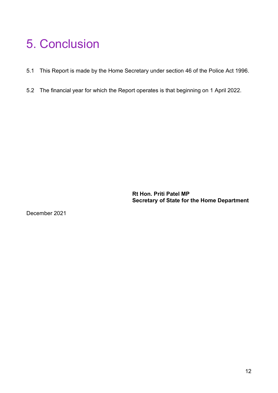### 5. Conclusion

- 5.1 This Report is made by the Home Secretary under section 46 of the Police Act 1996.
- 5.2 The financial year for which the Report operates is that beginning on 1 April 2022.

Rt Hon. Priti Patel MP Secretary of State for the Home Department

December 2021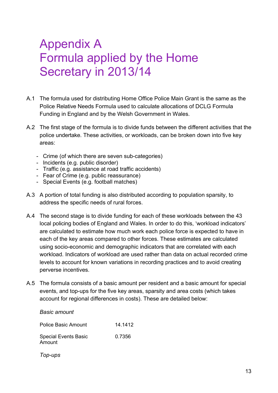### Appendix A Formula applied by the Home Secretary in 2013/14

- A.1 The formula used for distributing Home Office Police Main Grant is the same as the Police Relative Needs Formula used to calculate allocations of DCLG Formula Funding in England and by the Welsh Government in Wales.
- A.2 The first stage of the formula is to divide funds between the different activities that the police undertake. These activities, or workloads, can be broken down into five key areas:
	- Crime (of which there are seven sub-categories)
	- Incidents (e.g. public disorder)
	- Traffic (e.g. assistance at road traffic accidents)
	- Fear of Crime (e.g. public reassurance)
	- Special Events (e.g. football matches)
- A.3 A portion of total funding is also distributed according to population sparsity, to address the specific needs of rural forces.
- A.4 The second stage is to divide funding for each of these workloads between the 43 local policing bodies of England and Wales. In order to do this, 'workload indicators' are calculated to estimate how much work each police force is expected to have in each of the key areas compared to other forces. These estimates are calculated using socio-economic and demographic indicators that are correlated with each workload. Indicators of workload are used rather than data on actual recorded crime levels to account for known variations in recording practices and to avoid creating perverse incentives.
- A.5 The formula consists of a basic amount per resident and a basic amount for special events, and top-ups for the five key areas, sparsity and area costs (which takes account for regional differences in costs). These are detailed below:

### Police Basic Amount 14.1412 Special Events Basic Amount 0.7356

Top-ups

Basic amount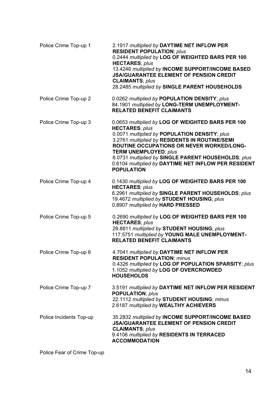| Police Crime Top-up 1   | 2.1917 multiplied by DAYTIME NET INFLOW PER<br><b>RESIDENT POPULATION; plus</b><br>0.2444 multiplied by LOG OF WEIGHTED BARS PER 100<br><b>HECTARES; plus</b><br>13.4246 multiplied by INCOME SUPPORT/INCOME BASED<br><b>JSA/GUARANTEE ELEMENT OF PENSION CREDIT</b><br><b>CLAIMANTS; plus</b><br>28.2485 multiplied by SINGLE PARENT HOUSEHOLDS                                                      |
|-------------------------|-------------------------------------------------------------------------------------------------------------------------------------------------------------------------------------------------------------------------------------------------------------------------------------------------------------------------------------------------------------------------------------------------------|
| Police Crime Top-up 2   | 0.0262 multiplied by POPULATION DENSITY; plus<br>84.1901 multiplied by LONG-TERM UNEMPLOYMENT-<br><b>RELATED BENEFIT CLAIMANTS</b>                                                                                                                                                                                                                                                                    |
| Police Crime Top-up 3   | 0.0653 multiplied by LOG OF WEIGHTED BARS PER 100<br><b>HECTARES; plus</b><br>0.0071 multiplied by POPULATION DENSITY; plus<br>3.2761 multiplied by RESIDENTS IN ROUTINE/SEMI<br><b>ROUTINE OCCUPATIONS OR NEVER WORKED/LONG-</b><br><b>TERM UNEMPLOYED; plus</b><br>8.0731 multiplied by SINGLE PARENT HOUSEHOLDS; plus<br>0.6104 multiplied by DAYTIME NET INFLOW PER RESIDENT<br><b>POPULATION</b> |
| Police Crime Top-up 4   | 0.1430 multiplied by LOG OF WEIGHTED BARS PER 100<br><b>HECTARES; plus</b><br>6.2961 multiplied by SINGLE PARENT HOUSEHOLDS; plus<br>19.4672 multiplied by STUDENT HOUSING; plus<br>0.8907 multiplied by HARD PRESSED                                                                                                                                                                                 |
| Police Crime Top-up 5   | 0.2690 multiplied by LOG OF WEIGHTED BARS PER 100<br><b>HECTARES; plus</b><br>29.8811 multiplied by STUDENT HOUSING; plus<br>117.5751 multiplied by YOUNG MALE UNEMPLOYMENT-<br><b>RELATED BENEFIT CLAIMANTS</b>                                                                                                                                                                                      |
| Police Crime Top-up 6   | 4.7041 multiplied by DAYTIME NET INFLOW PER<br><b>RESIDENT POPULATION; minus</b><br>0.4326 multiplied by LOG OF POPULATION SPARSITY; plus<br>1.1052 multiplied by LOG OF OVERCROWDED<br><b>HOUSEHOLDS</b>                                                                                                                                                                                             |
| Police Crime Top-up 7   | 3.5191 multiplied by DAYTIME NET INFLOW PER RESIDENT<br><b>POPULATION; plus</b><br>22.1112 multiplied by STUDENT HOUSING; minus<br>2.6187 multiplied by WEALTHY ACHIEVERS                                                                                                                                                                                                                             |
| Police Incidents Top-up | 35.2832 multiplied by INCOME SUPPORT/INCOME BASED<br><b>JSA/GUARANTEE ELEMENT OF PENSION CREDIT</b><br><b>CLAIMANTS; plus</b><br>9.4106 multiplied by RESIDENTS IN TERRACED<br><b>ACCOMMODATION</b>                                                                                                                                                                                                   |

Police Fear of Crime Top-up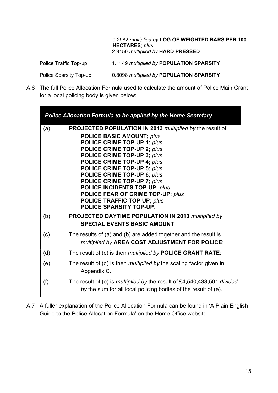0.2982 multiplied by LOG OF WEIGHTED BARS PER 100 HECTARES; plus 2.9150 multiplied by HARD PRESSED

Police Traffic Top-up 1.1149 multiplied by POPULATION SPARSITY

Police Sparsity Top-up 0.8098 multiplied by POPULATION SPARSITY

A.6 The full Police Allocation Formula used to calculate the amount of Police Main Grant for a local policing body is given below:

|     | <b>Police Allocation Formula to be applied by the Home Secretary</b>                                                                                                                                                                                                                                                                                                                                                                                                                      |
|-----|-------------------------------------------------------------------------------------------------------------------------------------------------------------------------------------------------------------------------------------------------------------------------------------------------------------------------------------------------------------------------------------------------------------------------------------------------------------------------------------------|
| (a) | <b>PROJECTED POPULATION IN 2013 multiplied by the result of:</b><br><b>POLICE BASIC AMOUNT; plus</b><br><b>POLICE CRIME TOP-UP 1; plus</b><br>POLICE CRIME TOP-UP 2; plus<br>POLICE CRIME TOP-UP 3; plus<br>POLICE CRIME TOP-UP 4; plus<br>POLICE CRIME TOP-UP 5; plus<br>POLICE CRIME TOP-UP 6; plus<br><b>POLICE CRIME TOP-UP 7; plus</b><br><b>POLICE INCIDENTS TOP-UP; plus</b><br>POLICE FEAR OF CRIME TOP-UP; plus<br><b>POLICE TRAFFIC TOP-UP; plus</b><br>POLICE SPARSITY TOP-UP. |
| (b) | <b>PROJECTED DAYTIME POPULATION IN 2013 multiplied by</b><br><b>SPECIAL EVENTS BASIC AMOUNT:</b>                                                                                                                                                                                                                                                                                                                                                                                          |
| (c) | The results of (a) and (b) are added together and the result is<br>multiplied by AREA COST ADJUSTMENT FOR POLICE;                                                                                                                                                                                                                                                                                                                                                                         |
| (d) | The result of (c) is then <i>multiplied by</i> <b>POLICE GRANT RATE</b> ;                                                                                                                                                                                                                                                                                                                                                                                                                 |
| (e) | The result of (d) is then <i>multiplied by</i> the scaling factor given in<br>Appendix C.                                                                                                                                                                                                                                                                                                                                                                                                 |
| (f) | The result of (e) is <i>multiplied by</i> the result of £4,540,433,501 divided<br>by the sum for all local policing bodies of the result of (e).                                                                                                                                                                                                                                                                                                                                          |

A.7 A fuller explanation of the Police Allocation Formula can be found in 'A Plain English Guide to the Police Allocation Formula' on the Home Office website.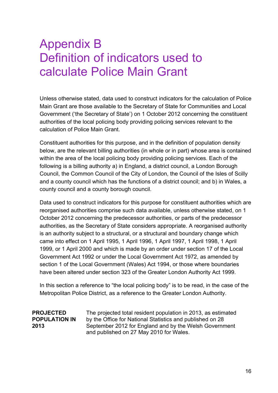### Appendix B Definition of indicators used to calculate Police Main Grant

Unless otherwise stated, data used to construct indicators for the calculation of Police Main Grant are those available to the Secretary of State for Communities and Local Government ('the Secretary of State') on 1 October 2012 concerning the constituent authorities of the local policing body providing policing services relevant to the calculation of Police Main Grant.

Constituent authorities for this purpose, and in the definition of population density below, are the relevant billing authorities (in whole or in part) whose area is contained within the area of the local policing body providing policing services. Each of the following is a billing authority a) in England, a district council, a London Borough Council, the Common Council of the City of London, the Council of the Isles of Scilly and a county council which has the functions of a district council; and b) in Wales, a county council and a county borough council.

Data used to construct indicators for this purpose for constituent authorities which are reorganised authorities comprise such data available, unless otherwise stated, on 1 October 2012 concerning the predecessor authorities, or parts of the predecessor authorities, as the Secretary of State considers appropriate. A reorganised authority is an authority subject to a structural, or a structural and boundary change which came into effect on 1 April 1995, 1 April 1996, 1 April 1997, 1 April 1998, 1 April 1999, or 1 April 2000 and which is made by an order under section 17 of the Local Government Act 1992 or under the Local Government Act 1972, as amended by section 1 of the Local Government (Wales) Act 1994, or those where boundaries have been altered under section 323 of the Greater London Authority Act 1999.

In this section a reference to "the local policing body" is to be read, in the case of the Metropolitan Police District, as a reference to the Greater London Authority.

#### PROJECTED POPULATION IN 2013

The projected total resident population in 2013, as estimated by the Office for National Statistics and published on 28 September 2012 for England and by the Welsh Government and published on 27 May 2010 for Wales.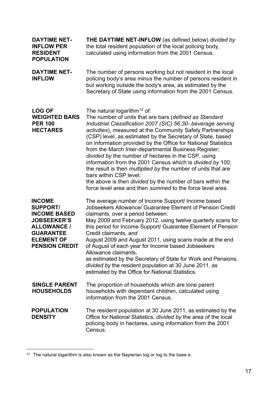| <b>DAYTIME NET-</b><br><b>INFLOW PER</b><br><b>RESIDENT</b><br><b>POPULATION</b>                                                                                      | <b>THE DAYTIME NET-INFLOW</b> (as defined below) divided by<br>the total resident population of the local policing body,<br>calculated using information from the 2001 Census.                                                                                                                                                                                                                                                                                                                                                                                                                                                                                                                                                                                                 |
|-----------------------------------------------------------------------------------------------------------------------------------------------------------------------|--------------------------------------------------------------------------------------------------------------------------------------------------------------------------------------------------------------------------------------------------------------------------------------------------------------------------------------------------------------------------------------------------------------------------------------------------------------------------------------------------------------------------------------------------------------------------------------------------------------------------------------------------------------------------------------------------------------------------------------------------------------------------------|
| <b>DAYTIME NET-</b><br><b>INFLOW</b>                                                                                                                                  | The number of persons working but not resident in the local<br>policing body's area <i>minus</i> the number of persons resident in<br>but working outside the body's area, as estimated by the<br>Secretary of State using information from the 2001 Census.                                                                                                                                                                                                                                                                                                                                                                                                                                                                                                                   |
| <b>LOG OF</b><br><b>WEIGHTED BARS</b><br><b>PER 100</b><br><b>HECTARES</b>                                                                                            | The natural logarithm <sup>12</sup> of:<br>The number of units that are bars (defined as Standard<br>Industrial Classification 2007 (SIC) 56.30- beverage serving<br>activities), measured at the Community Safety Partnerships<br>(CSP) level, as estimated by the Secretary of State, based<br>on information provided by the Office for National Statistics<br>from the March Inter-departmental Business Register;<br>divided by the number of hectares in the CSP, using<br>information from the 2001 Census which is divided by 100;<br>the result is then <i>multiplied by</i> the number of units that are<br>bars within CSP level;<br>the above is then <i>divided</i> by the number of bars within the<br>force level area and then summed to the force level area. |
| <b>INCOME</b><br><b>SUPPORT/</b><br><b>INCOME BASED</b><br><b>JOBSEEKER'S</b><br><b>ALLOWANCE /</b><br><b>GUARANTEE</b><br><b>ELEMENT OF</b><br><b>PENSION CREDIT</b> | The average number of Income Support/ Income based<br>Jobseekers Allowance/ Guarantee Element of Pension Credit<br>claimants, over a period between:<br>May 2009 and February 2012, using twelve quarterly scans for<br>this period for Income Support/ Guarantee Element of Pension<br>Credit claimants, and<br>August 2009 and August 2011, using scans made at the end<br>of August of each year for Income based Jobseekers<br>Allowance claimants.<br>as estimated by the Secretary of State for Work and Pensions,<br>divided by the resident population at 30 June 2011, as<br>estimated by the Office for National Statistics.                                                                                                                                         |
| <b>SINGLE PARENT</b><br><b>HOUSEHOLDS</b>                                                                                                                             | The proportion of households which are lone parent<br>households with dependant children, calculated using<br>information from the 2001 Census.                                                                                                                                                                                                                                                                                                                                                                                                                                                                                                                                                                                                                                |
| <b>POPULATION</b><br><b>DENSITY</b>                                                                                                                                   | The resident population at 30 June 2011, as estimated by the<br>Office for National Statistics, divided by the area of the local<br>policing body in hectares, using information from the 2001<br>Census.                                                                                                                                                                                                                                                                                                                                                                                                                                                                                                                                                                      |

 $12$  The natural logarithm is also known as the Napierian log or log to the base e.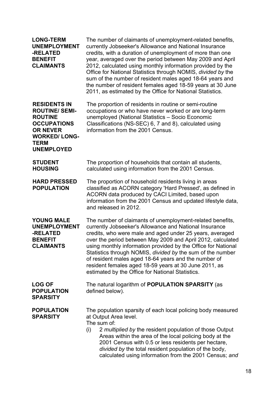| <b>LONG-TERM</b><br><b>UNEMPLOYMENT</b><br>-RELATED<br><b>BENEFIT</b><br><b>CLAIMANTS</b>                                                                          | The number of claimants of unemployment-related benefits,<br>currently Jobseeker's Allowance and National Insurance<br>credits, with a duration of unemployment of more than one<br>year, averaged over the period between May 2009 and April<br>2012, calculated using monthly information provided by the<br>Office for National Statistics through NOMIS, divided by the<br>sum of the number of resident males aged 18-64 years and<br>the number of resident females aged 18-59 years at 30 June<br>2011, as estimated by the Office for National Statistics. |
|--------------------------------------------------------------------------------------------------------------------------------------------------------------------|--------------------------------------------------------------------------------------------------------------------------------------------------------------------------------------------------------------------------------------------------------------------------------------------------------------------------------------------------------------------------------------------------------------------------------------------------------------------------------------------------------------------------------------------------------------------|
| <b>RESIDENTS IN</b><br><b>ROUTINE/ SEMI-</b><br><b>ROUTINE</b><br><b>OCCUPATIONS</b><br><b>OR NEVER</b><br><b>WORKED/LONG-</b><br><b>TERM</b><br><b>UNEMPLOYED</b> | The proportion of residents in routine or semi-routine<br>occupations or who have never worked or are long-term<br>unemployed (National Statistics - Socio Economic<br>Classifications (NS-SEC) 6, 7 and 8), calculated using<br>information from the 2001 Census.                                                                                                                                                                                                                                                                                                 |
| <b>STUDENT</b><br><b>HOUSING</b>                                                                                                                                   | The proportion of households that contain all students,<br>calculated using information from the 2001 Census.                                                                                                                                                                                                                                                                                                                                                                                                                                                      |
| <b>HARD PRESSED</b><br><b>POPULATION</b>                                                                                                                           | The proportion of household residents living in areas<br>classified as ACORN category 'Hard Pressed', as defined in<br>ACORN data produced by CACI Limited, based upon<br>information from the 2001 Census and updated lifestyle data,<br>and released in 2012.                                                                                                                                                                                                                                                                                                    |
| <b>YOUNG MALE</b><br><b>UNEMPLOYMENT</b><br>-RELATED<br><b>BENEFIT</b><br><b>CLAIMANTS</b>                                                                         | The number of claimants of unemployment-related benefits,<br>currently Jobseeker's Allowance and National Insurance<br>credits, who were male and aged under 25 years, averaged<br>over the period between May 2009 and April 2012, calculated<br>using monthly information provided by the Office for National<br>Statistics through NOMIS, divided by the sum of the number<br>of resident males aged 18-64 years and the number of<br>resident females aged 18-59 years at 30 June 2011, as<br>estimated by the Office for National Statistics.                 |
| <b>LOG OF</b><br><b>POPULATION</b><br><b>SPARSITY</b>                                                                                                              | The natural logarithm of <b>POPULATION SPARSITY</b> (as<br>defined below).                                                                                                                                                                                                                                                                                                                                                                                                                                                                                         |
| <b>POPULATION</b><br><b>SPARSITY</b>                                                                                                                               | The population sparsity of each local policing body measured<br>at Output Area level.<br>The sum of:<br>2 multiplied by the resident population of those Output<br>(i)<br>Areas within the area of the local policing body at the<br>2001 Census with 0.5 or less residents per hectare,<br>divided by the total resident population of the body,<br>calculated using information from the 2001 Census; and                                                                                                                                                        |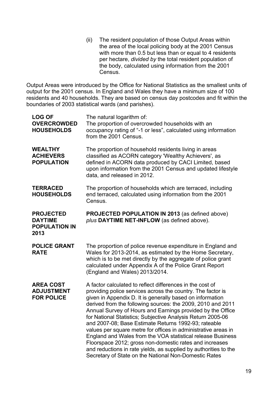(ii) The resident population of those Output Areas within the area of the local policing body at the 2001 Census with more than 0.5 but less than or equal to 4 residents per hectare, divided by the total resident population of the body, calculated using information from the 2001 Census.

Output Areas were introduced by the Office for National Statistics as the smallest units of output for the 2001 census. In England and Wales they have a minimum size of 100 residents and 40 households. They are based on census day postcodes and fit within the boundaries of 2003 statistical wards (and parishes).

| <b>LOG OF</b><br><b>OVERCROWDED</b><br><b>HOUSEHOLDS</b>           | The natural logarithm of:<br>The proportion of overcrowded households with an<br>occupancy rating of "-1 or less", calculated using information<br>from the 2001 Census.                                                                                                                                                                                                                                                                                                                                                                                                                                                                                                                                                                                           |
|--------------------------------------------------------------------|--------------------------------------------------------------------------------------------------------------------------------------------------------------------------------------------------------------------------------------------------------------------------------------------------------------------------------------------------------------------------------------------------------------------------------------------------------------------------------------------------------------------------------------------------------------------------------------------------------------------------------------------------------------------------------------------------------------------------------------------------------------------|
| <b>WEALTHY</b><br><b>ACHIEVERS</b><br><b>POPULATION</b>            | The proportion of household residents living in areas<br>classified as ACORN category 'Wealthy Achievers', as<br>defined in ACORN data produced by CACI Limited, based<br>upon information from the 2001 Census and updated lifestyle<br>data, and released in 2012.                                                                                                                                                                                                                                                                                                                                                                                                                                                                                               |
| <b>TERRACED</b><br><b>HOUSEHOLDS</b>                               | The proportion of households which are terraced, including<br>end terraced, calculated using information from the 2001<br>Census.                                                                                                                                                                                                                                                                                                                                                                                                                                                                                                                                                                                                                                  |
| <b>PROJECTED</b><br><b>DAYTIME</b><br><b>POPULATION IN</b><br>2013 | <b>PROJECTED POPULATION IN 2013 (as defined above)</b><br>plus DAYTIME NET-INFLOW (as defined above).                                                                                                                                                                                                                                                                                                                                                                                                                                                                                                                                                                                                                                                              |
| <b>POLICE GRANT</b><br><b>RATE</b>                                 | The proportion of police revenue expenditure in England and<br>Wales for 2013-2014, as estimated by the Home Secretary,<br>which is to be met directly by the aggregate of police grant<br>calculated under Appendix A of the Police Grant Report<br>(England and Wales) 2013/2014.                                                                                                                                                                                                                                                                                                                                                                                                                                                                                |
| <b>AREA COST</b><br><b>ADJUSTMENT</b><br><b>FOR POLICE</b>         | A factor calculated to reflect differences in the cost of<br>providing police services across the country. The factor is<br>given in Appendix D. It is generally based on information<br>derived from the following sources: the 2009, 2010 and 2011<br>Annual Survey of Hours and Earnings provided by the Office<br>for National Statistics; Subjective Analysis Return 2005-06<br>and 2007-08; Base Estimate Returns 1992-93; rateable<br>values per square metre for offices in administrative areas in<br>England and Wales from the VOA statistical release Business<br>Floorspace 2012; gross non-domestic rates and increases<br>and reductions in rate yields, as supplied by authorities to the<br>Secretary of State on the National Non-Domestic Rates |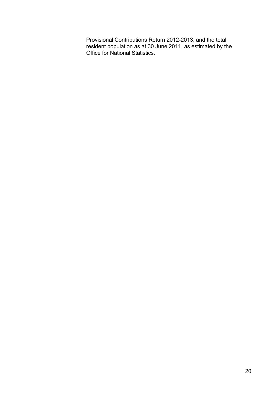Provisional Contributions Return 2012-2013; and the total resident population as at 30 June 2011, as estimated by the Office for National Statistics.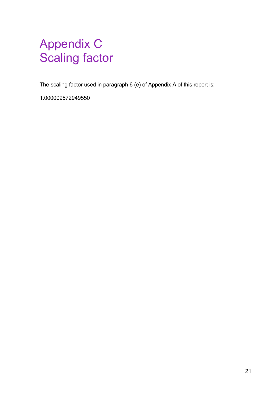## Appendix C Scaling factor

The scaling factor used in paragraph 6 (e) of Appendix A of this report is:

1.000009572949550